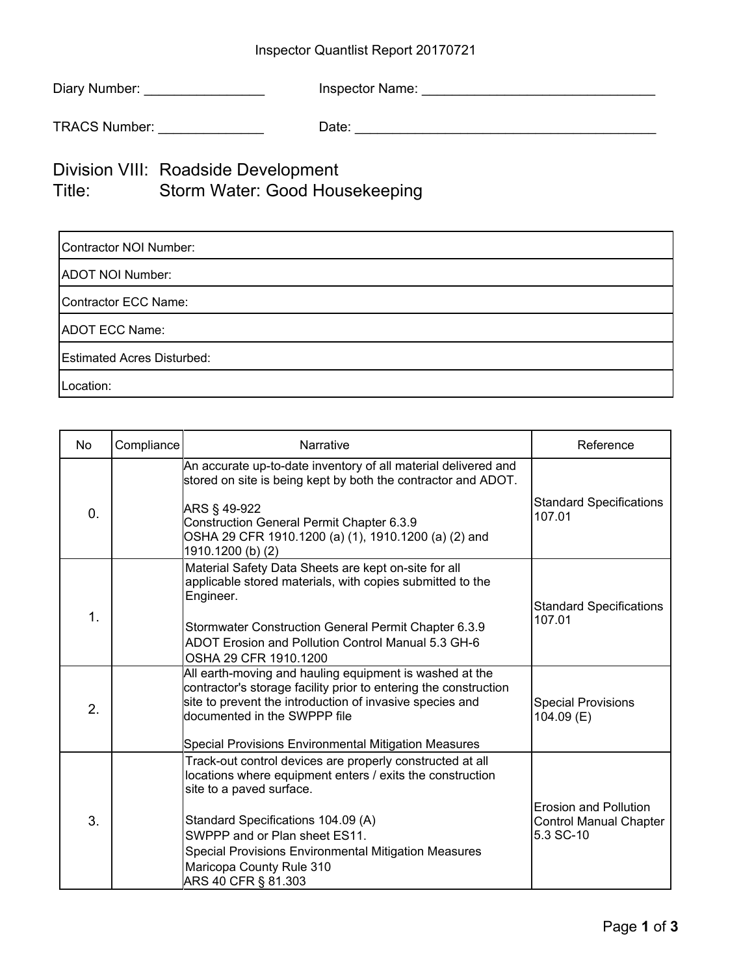## Inspector Quantlist Report 20170721

| Diary Number: | <b>Inspector Name:</b> |  |
|---------------|------------------------|--|
|               |                        |  |

TRACS Number: \_\_\_\_\_\_\_\_\_\_\_\_\_\_ Date: \_\_\_\_\_\_\_\_\_\_\_\_\_\_\_\_\_\_\_\_\_\_\_\_\_\_\_\_\_\_\_\_\_\_\_\_\_\_\_\_

## Division VIII: Roadside Development Title: Storm Water: Good Housekeeping

| Contractor NOI Number:            |  |  |  |  |
|-----------------------------------|--|--|--|--|
| ADOT NOI Number:                  |  |  |  |  |
| Contractor ECC Name:              |  |  |  |  |
| ADOT ECC Name:                    |  |  |  |  |
| <b>Estimated Acres Disturbed:</b> |  |  |  |  |
| Location:                         |  |  |  |  |

| No             | Compliance | Narrative                                                                                                                                                                                                                                                                                                                            | Reference                                                           |
|----------------|------------|--------------------------------------------------------------------------------------------------------------------------------------------------------------------------------------------------------------------------------------------------------------------------------------------------------------------------------------|---------------------------------------------------------------------|
| $\mathbf{0}$ . |            | An accurate up-to-date inventory of all material delivered and<br>stored on site is being kept by both the contractor and ADOT.<br>ARS § 49-922<br>Construction General Permit Chapter 6.3.9<br>OSHA 29 CFR 1910.1200 (a) (1), 1910.1200 (a) (2) and<br>1910.1200 (b) (2)                                                            | <b>Standard Specifications</b><br>107.01                            |
| $\mathbf 1$    |            | Material Safety Data Sheets are kept on-site for all<br>applicable stored materials, with copies submitted to the<br>Engineer.<br>Stormwater Construction General Permit Chapter 6.3.9<br>ADOT Erosion and Pollution Control Manual 5.3 GH-6<br>OSHA 29 CFR 1910.1200                                                                | <b>Standard Specifications</b><br>107.01                            |
| 2.             |            | All earth-moving and hauling equipment is washed at the<br>contractor's storage facility prior to entering the construction<br>site to prevent the introduction of invasive species and<br>documented in the SWPPP file<br>Special Provisions Environmental Mitigation Measures                                                      | <b>Special Provisions</b><br>104.09 (E)                             |
| 3.             |            | Track-out control devices are properly constructed at all<br>locations where equipment enters / exits the construction<br>site to a paved surface.<br>Standard Specifications 104.09 (A)<br>SWPPP and or Plan sheet ES11.<br>Special Provisions Environmental Mitigation Measures<br>Maricopa County Rule 310<br>ARS 40 CFR § 81.303 | Erosion and Pollution<br><b>Control Manual Chapter</b><br>5.3 SC-10 |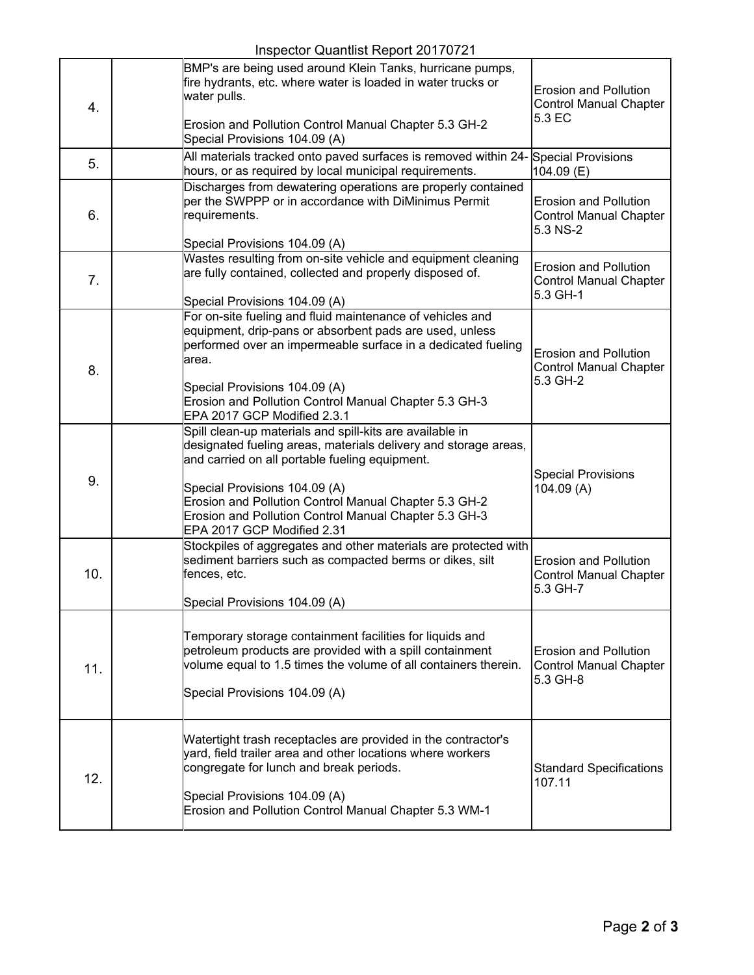|     | $\frac{1}{2}$ inspector Quartitist Report Z0 17 07 Z i                                                                                                                                                                                                                                                                                                         |                                                                           |
|-----|----------------------------------------------------------------------------------------------------------------------------------------------------------------------------------------------------------------------------------------------------------------------------------------------------------------------------------------------------------------|---------------------------------------------------------------------------|
| 4.  | BMP's are being used around Klein Tanks, hurricane pumps,<br>fire hydrants, etc. where water is loaded in water trucks or<br>water pulls.<br>Erosion and Pollution Control Manual Chapter 5.3 GH-2<br>Special Provisions 104.09 (A)                                                                                                                            | <b>Erosion and Pollution</b><br><b>Control Manual Chapter</b><br>5.3 EC   |
| 5.  | All materials tracked onto paved surfaces is removed within 24- Special Provisions<br>hours, or as required by local municipal requirements.                                                                                                                                                                                                                   | $104.09$ (E)                                                              |
| 6.  | Discharges from dewatering operations are properly contained<br>per the SWPPP or in accordance with DiMinimus Permit<br>requirements.<br>Special Provisions 104.09 (A)                                                                                                                                                                                         | <b>Erosion and Pollution</b><br><b>Control Manual Chapter</b><br>5.3 NS-2 |
| 7.  | Wastes resulting from on-site vehicle and equipment cleaning<br>are fully contained, collected and properly disposed of.<br>Special Provisions 104.09 (A)                                                                                                                                                                                                      | <b>Erosion and Pollution</b><br><b>Control Manual Chapter</b><br>5.3 GH-1 |
| 8.  | For on-site fueling and fluid maintenance of vehicles and<br>equipment, drip-pans or absorbent pads are used, unless<br>performed over an impermeable surface in a dedicated fueling<br>larea.<br>Special Provisions 104.09 (A)<br>Erosion and Pollution Control Manual Chapter 5.3 GH-3<br>EPA 2017 GCP Modified 2.3.1                                        | <b>Erosion and Pollution</b><br><b>Control Manual Chapter</b><br>5.3 GH-2 |
| 9.  | Spill clean-up materials and spill-kits are available in<br>designated fueling areas, materials delivery and storage areas,<br>and carried on all portable fueling equipment.<br>Special Provisions 104.09 (A)<br>Erosion and Pollution Control Manual Chapter 5.3 GH-2<br>Erosion and Pollution Control Manual Chapter 5.3 GH-3<br>EPA 2017 GCP Modified 2.31 | <b>Special Provisions</b><br>104.09 (A)                                   |
| 10. | Stockpiles of aggregates and other materials are protected with<br>sediment barriers such as compacted berms or dikes, silt<br>fences, etc.<br>Special Provisions 104.09 (A)                                                                                                                                                                                   | <b>Erosion and Pollution</b><br><b>Control Manual Chapter</b><br>5.3 GH-7 |
| 11. | Temporary storage containment facilities for liquids and<br>petroleum products are provided with a spill containment<br>volume equal to 1.5 times the volume of all containers therein.<br>Special Provisions 104.09 (A)                                                                                                                                       | <b>Erosion and Pollution</b><br><b>Control Manual Chapter</b><br>5.3 GH-8 |
| 12. | Watertight trash receptacles are provided in the contractor's<br>yard, field trailer area and other locations where workers<br>congregate for lunch and break periods.<br>Special Provisions 104.09 (A)<br>Erosion and Pollution Control Manual Chapter 5.3 WM-1                                                                                               | <b>Standard Specifications</b><br>107.11                                  |